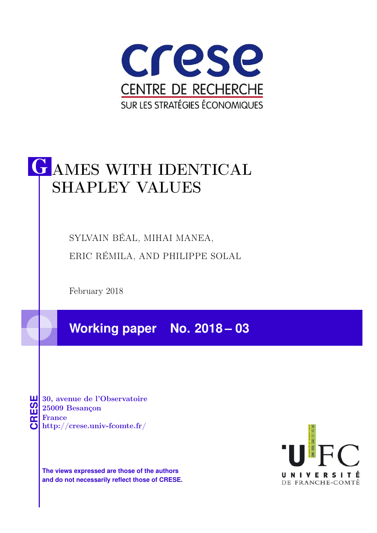

# G AMES WITH IDENTICAL SHAPLEY VALUES

SYLVAIN BÉAL, MIHAI MANEA, ERIC RÉMILA, AND PHILIPPE SOLAL

February 2018

**Working paper No. 2018 – 03**

**CRESE 30, avenue de l'Observatoire<br>
25009 Besançon<br>
France<br>
<b>CRESE de l'Observatoire**<br>
Http://crese.univ-fcomte.fr/ 25009 Besançon France

**The views expressed are those of the authors and do not necessarily reflect those of CRESE.**

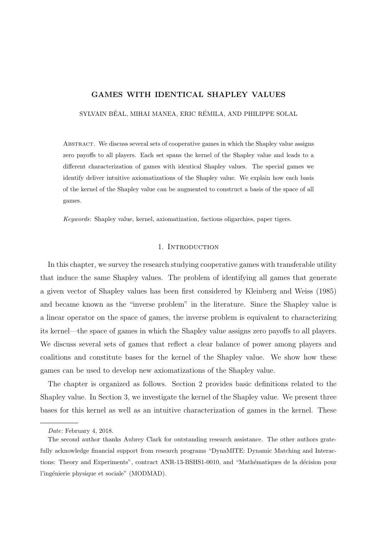## GAMES WITH IDENTICAL SHAPLEY VALUES

SYLVAIN BÉAL, MIHAI MANEA, ERIC RÉMILA, AND PHILIPPE SOLAL

Abstract. We discuss several sets of cooperative games in which the Shapley value assigns zero payoffs to all players. Each set spans the kernel of the Shapley value and leads to a different characterization of games with identical Shapley values. The special games we identify deliver intuitive axiomatizations of the Shapley value. We explain how each basis of the kernel of the Shapley value can be augmented to construct a basis of the space of all games.

Keywords: Shapley value, kernel, axiomatization, factious oligarchies, paper tigers.

## 1. INTRODUCTION

In this chapter, we survey the research studying cooperative games with transferable utility that induce the same Shapley values. The problem of identifying all games that generate a given vector of Shapley values has been first considered by Kleinberg and Weiss (1985) and became known as the "inverse problem" in the literature. Since the Shapley value is a linear operator on the space of games, the inverse problem is equivalent to characterizing its kernel—the space of games in which the Shapley value assigns zero payoffs to all players. We discuss several sets of games that reflect a clear balance of power among players and coalitions and constitute bases for the kernel of the Shapley value. We show how these games can be used to develop new axiomatizations of the Shapley value.

The chapter is organized as follows. Section 2 provides basic definitions related to the Shapley value. In Section 3, we investigate the kernel of the Shapley value. We present three bases for this kernel as well as an intuitive characterization of games in the kernel. These

Date: February 4, 2018.

The second author thanks Aubrey Clark for outstanding research assistance. The other authors gratefully acknowledge financial support from research programs "DynaMITE: Dynamic Matching and Interactions: Theory and Experiments", contract ANR-13-BSHS1-0010, and "Mathématiques de la décision pour l'ingénierie physique et sociale" (MODMAD).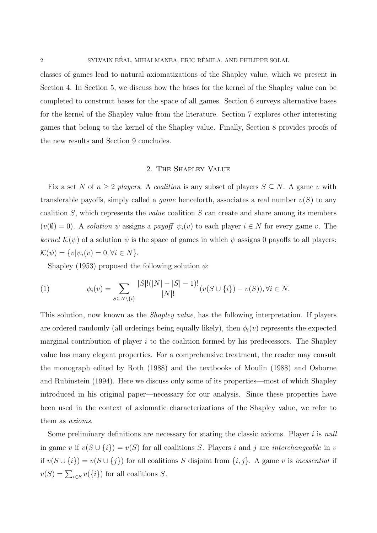classes of games lead to natural axiomatizations of the Shapley value, which we present in Section 4. In Section 5, we discuss how the bases for the kernel of the Shapley value can be completed to construct bases for the space of all games. Section 6 surveys alternative bases for the kernel of the Shapley value from the literature. Section 7 explores other interesting games that belong to the kernel of the Shapley value. Finally, Section 8 provides proofs of the new results and Section 9 concludes.

#### 2. The Shapley Value

Fix a set N of  $n \geq 2$  players. A coalition is any subset of players  $S \subseteq N$ . A game v with transferable payoffs, simply called a *game* henceforth, associates a real number  $v(S)$  to any coalition  $S$ , which represents the *value* coalition  $S$  can create and share among its members  $(v(\emptyset) = 0)$ . A solution  $\psi$  assigns a payoff  $\psi_i(v)$  to each player  $i \in N$  for every game v. The kernel  $\mathcal{K}(\psi)$  of a solution  $\psi$  is the space of games in which  $\psi$  assigns 0 payoffs to all players:  $\mathcal{K}(\psi) = \{v | \psi_i(v) = 0, \forall i \in N\}.$ 

Shapley (1953) proposed the following solution  $\phi$ :

(1) 
$$
\phi_i(v) = \sum_{S \subseteq N \setminus \{i\}} \frac{|S|!(|N|-|S|-1)!}{|N|!} (v(S \cup \{i\}) - v(S)), \forall i \in N.
$$

This solution, now known as the Shapley value, has the following interpretation. If players are ordered randomly (all orderings being equally likely), then  $\phi_i(v)$  represents the expected marginal contribution of player  $i$  to the coalition formed by his predecessors. The Shapley value has many elegant properties. For a comprehensive treatment, the reader may consult the monograph edited by Roth (1988) and the textbooks of Moulin (1988) and Osborne and Rubinstein (1994). Here we discuss only some of its properties—most of which Shapley introduced in his original paper—necessary for our analysis. Since these properties have been used in the context of axiomatic characterizations of the Shapley value, we refer to them as axioms.

Some preliminary definitions are necessary for stating the classic axioms. Player  $i$  is null in game v if  $v(S \cup \{i\}) = v(S)$  for all coalitions S. Players i and j are interchangeable in v if  $v(S \cup \{i\}) = v(S \cup \{j\})$  for all coalitions S disjoint from  $\{i, j\}$ . A game v is inessential if  $v(S) = \sum_{i \in S} v({i})$  for all coalitions S.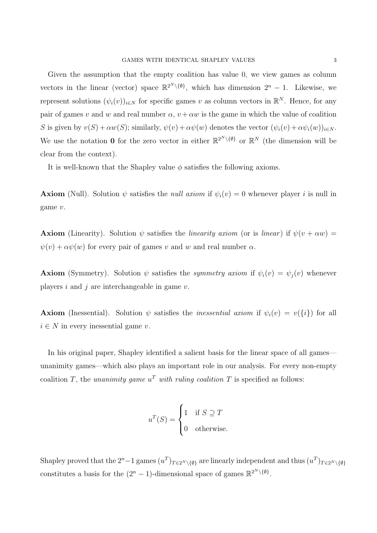Given the assumption that the empty coalition has value 0, we view games as column vectors in the linear (vector) space  $\mathbb{R}^{2^N \setminus \{\emptyset\}}$ , which has dimension  $2^n - 1$ . Likewise, we represent solutions  $(\psi_i(v))_{i\in N}$  for specific games v as column vectors in  $\mathbb{R}^N$ . Hence, for any pair of games v and w and real number  $\alpha$ ,  $v + \alpha w$  is the game in which the value of coalition S is given by  $v(S) + \alpha w(S)$ ; similarly,  $\psi(v) + \alpha \psi(w)$  denotes the vector  $(\psi_i(v) + \alpha \psi_i(w))_{i \in N}$ . We use the notation 0 for the zero vector in either  $\mathbb{R}^{2^N \setminus \{\emptyset\}}$  or  $\mathbb{R}^N$  (the dimension will be clear from the context).

It is well-known that the Shapley value  $\phi$  satisfies the following axioms.

**Axiom** (Null). Solution  $\psi$  satisfies the *null axiom* if  $\psi_i(v) = 0$  whenever player i is null in game v.

**Axiom** (Linearity). Solution  $\psi$  satisfies the *linearity axiom* (or is *linear*) if  $\psi(v + \alpha w) =$  $\psi(v) + \alpha \psi(w)$  for every pair of games v and w and real number  $\alpha$ .

**Axiom** (Symmetry). Solution  $\psi$  satisfies the *symmetry axiom* if  $\psi_i(v) = \psi_j(v)$  whenever players  $i$  and  $j$  are interchangeable in game  $v$ .

**Axiom** (Inessential). Solution  $\psi$  satisfies the *inessential axiom* if  $\psi_i(v) = v(\{i\})$  for all  $i \in N$  in every inessential game v.

In his original paper, Shapley identified a salient basis for the linear space of all games unanimity games—which also plays an important role in our analysis. For every non-empty coalition T, the unanimity game  $u^T$  with ruling coalition T is specified as follows:

$$
u^T(S) = \begin{cases} 1 & \text{if } S \supseteq T \\ 0 & \text{otherwise.} \end{cases}
$$

Shapley proved that the  $2^n-1$  games  $(u^T)_{T\in 2^N\setminus\{\emptyset\}}$  are linearly independent and thus  $(u^T)_{T\in 2^N\setminus\{\emptyset\}}$ constitutes a basis for the  $(2^{n} - 1)$ -dimensional space of games  $\mathbb{R}^{2^{N}\setminus\{\emptyset\}}$ .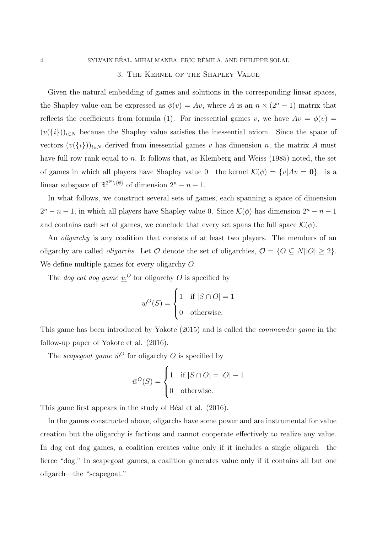#### 3. The Kernel of the Shapley Value

Given the natural embedding of games and solutions in the corresponding linear spaces, the Shapley value can be expressed as  $\phi(v) = Av$ , where A is an  $n \times (2^n - 1)$  matrix that reflects the coefficients from formula (1). For inessential games v, we have  $Av = \phi(v)$  $(v({i}))_{i\in\mathbb{N}}$  because the Shapley value satisfies the inessential axiom. Since the space of vectors  $(v({i}))_{i\in N}$  derived from inessential games v has dimension n, the matrix A must have full row rank equal to n. It follows that, as Kleinberg and Weiss (1985) noted, the set of games in which all players have Shapley value 0—the kernel  $\mathcal{K}(\phi) = \{v | Av = 0\}$ —is a linear subspace of  $\mathbb{R}^{2^N \setminus \{\emptyset\}}$  of dimension  $2^n - n - 1$ .

In what follows, we construct several sets of games, each spanning a space of dimension  $2^{n} - n - 1$ , in which all players have Shapley value 0. Since  $\mathcal{K}(\phi)$  has dimension  $2^{n} - n - 1$ and contains each set of games, we conclude that every set spans the full space  $\mathcal{K}(\phi)$ .

An *oligarchy* is any coalition that consists of at least two players. The members of an oligarchy are called *oligarchs*. Let  $\mathcal O$  denote the set of oligarchies,  $\mathcal O = \{O \subseteq N | |O| \geq 2\}.$ We define multiple games for every oligarchy O.

The *dog eat dog game*  $\underline{w}^O$  for oligarchy O is specified by

$$
\underline{w}^O(S) = \begin{cases} 1 & \text{if } |S \cap O| = 1 \\ 0 & \text{otherwise.} \end{cases}
$$

This game has been introduced by Yokote (2015) and is called the commander game in the follow-up paper of Yokote et al. (2016).

The *scapegoat game*  $\bar{w}^O$  for oligarchy O is specified by

$$
\overline{w}^O(S) = \begin{cases} 1 & \text{if } |S \cap O| = |O| - 1 \\ 0 & \text{otherwise.} \end{cases}
$$

This game first appears in the study of Béal et al. (2016).

In the games constructed above, oligarchs have some power and are instrumental for value creation but the oligarchy is factious and cannot cooperate effectively to realize any value. In dog eat dog games, a coalition creates value only if it includes a single oligarch—the fierce "dog." In scapegoat games, a coalition generates value only if it contains all but one oligarch—the "scapegoat."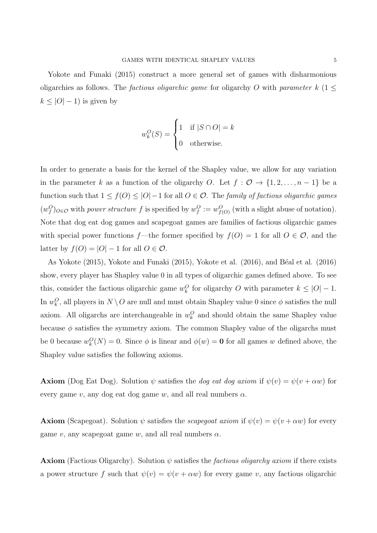Yokote and Funaki (2015) construct a more general set of games with disharmonious oligarchies as follows. The *factious oligarchic game* for oligarchy O with *parameter*  $k$  (1  $\leq$  $k \leq |O|-1$ ) is given by

$$
w_k^O(S) = \begin{cases} 1 & \text{if } |S \cap O| = k \\ 0 & \text{otherwise.} \end{cases}
$$

In order to generate a basis for the kernel of the Shapley value, we allow for any variation in the parameter k as a function of the oligarchy O. Let  $f : \mathcal{O} \to \{1, 2, ..., n-1\}$  be a function such that  $1 \leq f(0) \leq |O|-1$  for all  $O \in \mathcal{O}$ . The family of factious oligarchic games  $(w_f^O)_{O \in \mathcal{O}}$  with power structure f is specified by  $w_f^O := w_{f(O)}^O$  (with a slight abuse of notation). Note that dog eat dog games and scapegoat games are families of factious oligarchic games with special power functions f—the former specified by  $f(O) = 1$  for all  $O \in \mathcal{O}$ , and the latter by  $f(O) = |O| - 1$  for all  $O \in \mathcal{O}$ .

As Yokote (2015), Yokote and Funaki (2015), Yokote et al. (2016), and Béal et al. (2016) show, every player has Shapley value 0 in all types of oligarchic games defined above. To see this, consider the factious oligarchic game  $w_k^O$  for oligarchy O with parameter  $k \leq |O|-1$ . In  $w_k^O$ , all players in  $N \setminus O$  are null and must obtain Shapley value 0 since  $\phi$  satisfies the null axiom. All oligarchs are interchangeable in  $w_k^O$  and should obtain the same Shapley value because  $\phi$  satisfies the symmetry axiom. The common Shapley value of the oligarchs must be 0 because  $w_k^O(N) = 0$ . Since  $\phi$  is linear and  $\phi(w) = \mathbf{0}$  for all games w defined above, the Shapley value satisfies the following axioms.

**Axiom** (Dog Eat Dog). Solution  $\psi$  satisfies the *dog eat dog axiom* if  $\psi(v) = \psi(v + \alpha w)$  for every game v, any dog eat dog game w, and all real numbers  $\alpha$ .

**Axiom** (Scapegoat). Solution  $\psi$  satisfies the *scapegoat axiom* if  $\psi(v) = \psi(v + \alpha w)$  for every game v, any scapegoat game w, and all real numbers  $\alpha$ .

**Axiom** (Factious Oligarchy). Solution  $\psi$  satisfies the *factious oligarchy axiom* if there exists a power structure f such that  $\psi(v) = \psi(v + \alpha w)$  for every game v, any factious oligarchic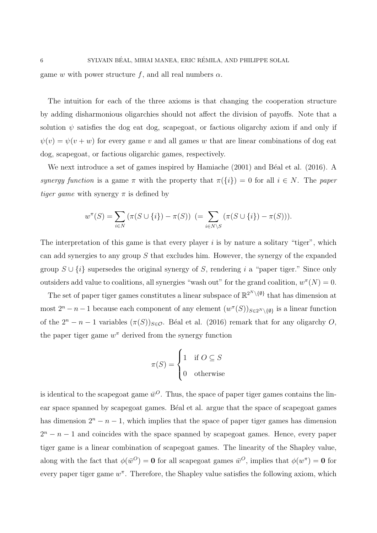game w with power structure f, and all real numbers  $\alpha$ .

The intuition for each of the three axioms is that changing the cooperation structure by adding disharmonious oligarchies should not affect the division of payoffs. Note that a solution  $\psi$  satisfies the dog eat dog, scapegoat, or factious oligarchy axiom if and only if  $\psi(v) = \psi(v + w)$  for every game v and all games w that are linear combinations of dog eat dog, scapegoat, or factious oligarchic games, respectively.

We next introduce a set of games inspired by Hamiache  $(2001)$  and Béal et al.  $(2016)$ . A synergy function is a game  $\pi$  with the property that  $\pi({i}) = 0$  for all  $i \in N$ . The paper *tiger game* with synergy  $\pi$  is defined by

$$
w^{\pi}(S) = \sum_{i \in N} (\pi(S \cup \{i\}) - \pi(S)) \ (= \sum_{i \in N \setminus S} (\pi(S \cup \{i\}) - \pi(S))).
$$

The interpretation of this game is that every player  $i$  is by nature a solitary "tiger", which can add synergies to any group  $S$  that excludes him. However, the synergy of the expanded group  $S \cup \{i\}$  supersedes the original synergy of S, rendering i a "paper tiger." Since only outsiders add value to coalitions, all synergies "wash out" for the grand coalition,  $w^{\pi}(N) = 0$ .

The set of paper tiger games constitutes a linear subspace of  $\mathbb{R}^{2^N \setminus \{\emptyset\}}$  that has dimension at most  $2^{n} - n - 1$  because each component of any element  $(w^{\pi}(S))_{S \in 2^{N} \setminus \{\emptyset\}}$  is a linear function of the  $2^{n} - n - 1$  variables  $(\pi(S))_{S \in \mathcal{O}}$ . Béal et al. (2016) remark that for any oligarchy O, the paper tiger game  $w^{\pi}$  derived from the synergy function

$$
\pi(S) = \begin{cases} 1 & \text{if } O \subseteq S \\ 0 & \text{otherwise} \end{cases}
$$

is identical to the scapegoat game  $\bar{w}^O$ . Thus, the space of paper tiger games contains the linear space spanned by scapegoat games. Béal et al. argue that the space of scapegoat games has dimension  $2^{n} - n - 1$ , which implies that the space of paper tiger games has dimension  $2^{n} - n - 1$  and coincides with the space spanned by scapegoat games. Hence, every paper tiger game is a linear combination of scapegoat games. The linearity of the Shapley value, along with the fact that  $\phi(\bar{w}^O) = \mathbf{0}$  for all scapegoat games  $\bar{w}^O$ , implies that  $\phi(w^{\pi}) = \mathbf{0}$  for every paper tiger game  $w^{\pi}$ . Therefore, the Shapley value satisfies the following axiom, which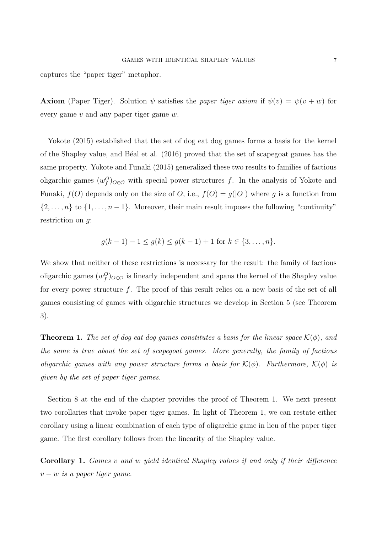captures the "paper tiger" metaphor.

**Axiom** (Paper Tiger). Solution  $\psi$  satisfies the paper tiger axiom if  $\psi(v) = \psi(v+w)$  for every game  $v$  and any paper tiger game  $w$ .

Yokote (2015) established that the set of dog eat dog games forms a basis for the kernel of the Shapley value, and B´eal et al. (2016) proved that the set of scapegoat games has the same property. Yokote and Funaki (2015) generalized these two results to families of factious oligarchic games  $(w_f^O)_{O \in \mathcal{O}}$  with special power structures f. In the analysis of Yokote and Funaki,  $f(O)$  depends only on the size of O, i.e.,  $f(O) = g(|O|)$  where g is a function from  $\{2,\ldots,n\}$  to  $\{1,\ldots,n-1\}$ . Moreover, their main result imposes the following "continuity" restriction on q:

$$
g(k-1)-1 \le g(k) \le g(k-1)+1 \text{ for } k \in \{3,\ldots,n\}.
$$

We show that neither of these restrictions is necessary for the result: the family of factious oligarchic games  $(w_f^O)_{O \in \mathcal{O}}$  is linearly independent and spans the kernel of the Shapley value for every power structure f. The proof of this result relies on a new basis of the set of all games consisting of games with oligarchic structures we develop in Section 5 (see Theorem 3).

**Theorem 1.** The set of dog eat dog games constitutes a basis for the linear space  $\mathcal{K}(\phi)$ , and the same is true about the set of scapegoat games. More generally, the family of factious oligarchic games with any power structure forms a basis for  $\mathcal{K}(\phi)$ . Furthermore,  $\mathcal{K}(\phi)$  is given by the set of paper tiger games.

Section 8 at the end of the chapter provides the proof of Theorem 1. We next present two corollaries that invoke paper tiger games. In light of Theorem 1, we can restate either corollary using a linear combination of each type of oligarchic game in lieu of the paper tiger game. The first corollary follows from the linearity of the Shapley value.

Corollary 1. Games v and w yield identical Shapley values if and only if their difference  $v - w$  is a paper tiger game.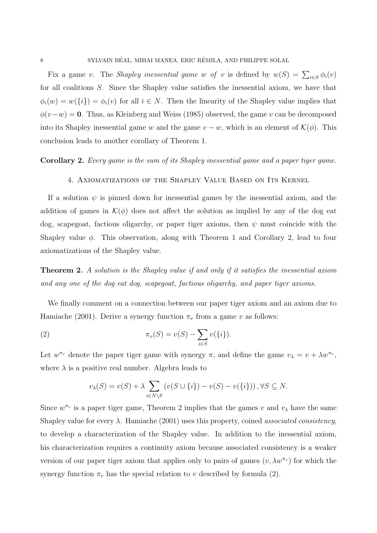Fix a game v. The *Shapley inessential game w of v* is defined by  $w(S) = \sum_{i \in S} \phi_i(v)$ for all coalitions S. Since the Shapley value satisfies the inessential axiom, we have that  $\phi_i(w) = w(\{i\}) = \phi_i(v)$  for all  $i \in N$ . Then the linearity of the Shapley value implies that  $\phi(v-w) = 0$ . Thus, as Kleinberg and Weiss (1985) observed, the game v can be decomposed into its Shapley inessential game w and the game  $v - w$ , which is an element of  $\mathcal{K}(\phi)$ . This conclusion leads to another corollary of Theorem 1.

#### Corollary 2. Every game is the sum of its Shapley inessential game and a paper tiger game.

#### 4. Axiomatizations of the Shapley Value Based on Its Kernel

If a solution  $\psi$  is pinned down for inessential games by the inessential axiom, and the addition of games in  $\mathcal{K}(\phi)$  does not affect the solution as implied by any of the dog eat dog, scapegoat, factious oligarchy, or paper tiger axioms, then  $\psi$  must coincide with the Shapley value  $\phi$ . This observation, along with Theorem 1 and Corollary 2, lead to four axiomatizations of the Shapley value.

**Theorem 2.** A solution is the Shapley value if and only if it satisfies the inessential axiom and any one of the dog eat dog, scapegoat, factious oligarchy, and paper tiger axioms.

We finally comment on a connection between our paper tiger axiom and an axiom due to Hamiache (2001). Derive a synergy function  $\pi_v$  from a game v as follows:

(2) 
$$
\pi_v(S) = v(S) - \sum_{i \in S} v(\{i\}).
$$

Let  $w^{\pi_v}$  denote the paper tiger game with synergy  $\pi$ , and define the game  $v_\lambda = v + \lambda w^{\pi_v}$ , where  $\lambda$  is a positive real number. Algebra leads to

$$
v_{\lambda}(S) = v(S) + \lambda \sum_{i \in N \setminus S} \left( v(S \cup \{i\}) - v(S) - v(\{i\}) \right), \forall S \subseteq N.
$$

Since  $w^{\pi_v}$  is a paper tiger game, Theorem 2 implies that the games v and  $v_\lambda$  have the same Shapley value for every  $\lambda$ . Hamiache (2001) uses this property, coined *associated consistency*, to develop a characterization of the Shapley value. In addition to the inessential axiom, his characterization requires a continuity axiom because associated consistency is a weaker version of our paper tiger axiom that applies only to pairs of games  $(v, \lambda w^{\pi_v})$  for which the synergy function  $\pi_v$  has the special relation to v described by formula (2).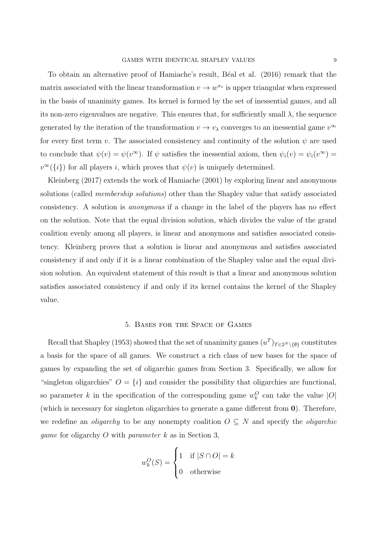To obtain an alternative proof of Hamiache's result, B´eal et al. (2016) remark that the matrix associated with the linear transformation  $v \to w^{\pi_v}$  is upper triangular when expressed in the basis of unanimity games. Its kernel is formed by the set of inessential games, and all its non-zero eigenvalues are negative. This ensures that, for sufficiently small  $\lambda$ , the sequence generated by the iteration of the transformation  $v \to v_\lambda$  converges to an inessential game  $v^\infty$ for every first term v. The associated consistency and continuity of the solution  $\psi$  are used to conclude that  $\psi(v) = \psi(v^{\infty})$ . If  $\psi$  satisfies the inessential axiom, then  $\psi_i(v) = \psi_i(v^{\infty}) =$  $v^{\infty}(\{i\})$  for all players *i*, which proves that  $\psi(v)$  is uniquely determined.

Kleinberg (2017) extends the work of Hamiache (2001) by exploring linear and anonymous solutions (called *membership solutions*) other than the Shapley value that satisfy associated consistency. A solution is anonymous if a change in the label of the players has no effect on the solution. Note that the equal division solution, which divides the value of the grand coalition evenly among all players, is linear and anonymous and satisfies associated consistency. Kleinberg proves that a solution is linear and anonymous and satisfies associated consistency if and only if it is a linear combination of the Shapley value and the equal division solution. An equivalent statement of this result is that a linear and anonymous solution satisfies associated consistency if and only if its kernel contains the kernel of the Shapley value.

#### 5. Bases for the Space of Games

Recall that Shapley (1953) showed that the set of unanimity games  $(u^T)_{T \in 2^N \setminus \{\emptyset\}}$  constitutes a basis for the space of all games. We construct a rich class of new bases for the space of games by expanding the set of oligarchic games from Section 3. Specifically, we allow for "singleton oligarchies"  $O = \{i\}$  and consider the possibility that oligarchies are functional, so parameter k in the specification of the corresponding game  $w_k^O$  can take the value  $|O|$ (which is necessary for singleton oligarchies to generate a game different from 0). Therefore, we redefine an *oligarchy* to be any nonempty coalition  $O \subseteq N$  and specify the *oligarchic game* for oligarchy  $O$  with *parameter*  $k$  as in Section 3,

$$
w_k^O(S) = \begin{cases} 1 & \text{if } |S \cap O| = k \\ 0 & \text{otherwise} \end{cases}
$$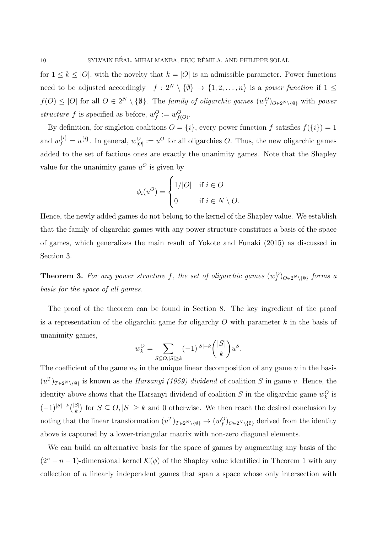for  $1 \leq k \leq |O|$ , with the novelty that  $k = |O|$  is an admissible parameter. Power functions need to be adjusted accordingly—f :  $2^N \setminus \{0\} \rightarrow \{1, 2, ..., n\}$  is a power function if  $1 \leq$  $f(O) \leq |O|$  for all  $O \in 2^N \setminus \{\emptyset\}$ . The *family of oligarchic games*  $(w_f^O)_{O \in 2^N \setminus \{\emptyset\}}$  with *power* structure f is specified as before,  $w_f^O := w_{f(O)}^O$ .

By definition, for singleton coalitions  $O = \{i\}$ , every power function f satisfies  $f(\{i\}) = 1$ and  $w_f^{\{i\}} = u^{\{i\}}$ . In general,  $w_{|O|}^O := u^O$  for all oligarchies O. Thus, the new oligarchic games added to the set of factious ones are exactly the unanimity games. Note that the Shapley value for the unanimity game  $u^O$  is given by

$$
\phi_i(u^O) = \begin{cases} 1/|O| & \text{if } i \in O \\ 0 & \text{if } i \in N \setminus O. \end{cases}
$$

Hence, the newly added games do not belong to the kernel of the Shapley value. We establish that the family of oligarchic games with any power structure constitues a basis of the space of games, which generalizes the main result of Yokote and Funaki (2015) as discussed in Section 3.

**Theorem 3.** For any power structure f, the set of oligarchic games  $(w_f^O)_{O \in 2^N \setminus \{\emptyset\}}$  forms a basis for the space of all games.

The proof of the theorem can be found in Section 8. The key ingredient of the proof is a representation of the oligarchic game for oligarchy  $O$  with parameter  $k$  in the basis of unanimity games,

$$
w_k^O = \sum_{S \subseteq O, |S| \ge k} (-1)^{|S| - k} \binom{|S|}{k} u^S.
$$

The coefficient of the game  $u<sub>S</sub>$  in the unique linear decomposition of any game v in the basis  $(u^T)_{T\in 2^N\setminus\{\emptyset\}}$  is known as the *Harsanyi (1959) dividend* of coalition S in game v. Hence, the identity above shows that the Harsanyi dividend of coalition  $S$  in the oligarchic game  $w_k^O$  is  $(-1)^{|S|-k} { |S| \choose k}$  for  $S \subseteq O, |S| \ge k$  and 0 otherwise. We then reach the desired conclusion by noting that the linear transformation  $(u^T)_{T \in 2^N \setminus \{\emptyset\}} \to (w_f^O)_{O \in 2^N \setminus \{\emptyset\}}$  derived from the identity above is captured by a lower-triangular matrix with non-zero diagonal elements.

We can build an alternative basis for the space of games by augmenting any basis of the  $(2^{n} - n - 1)$ -dimensional kernel  $\mathcal{K}(\phi)$  of the Shapley value identified in Theorem 1 with any collection of n linearly independent games that span a space whose only intersection with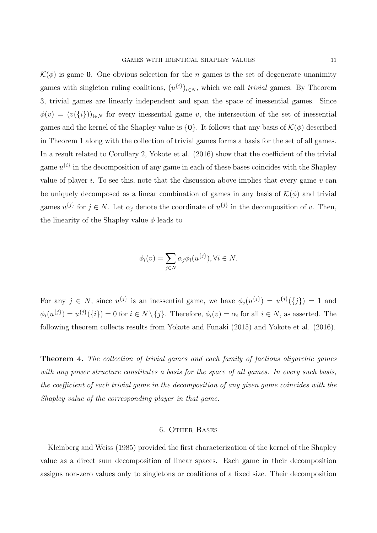$\mathcal{K}(\phi)$  is game 0. One obvious selection for the *n* games is the set of degenerate unanimity games with singleton ruling coalitions,  $(u^{i})_{i \in N}$ , which we call *trivial* games. By Theorem 3, trivial games are linearly independent and span the space of inessential games. Since  $\phi(v) = (v(\{i\}))_{i \in N}$  for every inessential game v, the intersection of the set of inessential games and the kernel of the Shapley value is  $\{0\}$ . It follows that any basis of  $\mathcal{K}(\phi)$  described in Theorem 1 along with the collection of trivial games forms a basis for the set of all games. In a result related to Corollary 2, Yokote et al. (2016) show that the coefficient of the trivial game  $u^{\{i\}}$  in the decomposition of any game in each of these bases coincides with the Shapley value of player i. To see this, note that the discussion above implies that every game  $v$  can be uniquely decomposed as a linear combination of games in any basis of  $\mathcal{K}(\phi)$  and trivial games  $u^{\{j\}}$  for  $j \in N$ . Let  $\alpha_j$  denote the coordinate of  $u^{\{j\}}$  in the decomposition of v. Then, the linearity of the Shapley value  $\phi$  leads to

$$
\phi_i(v) = \sum_{j \in N} \alpha_j \phi_i(u^{\{j\}}), \forall i \in N.
$$

For any  $j \in N$ , since  $u^{\{j\}}$  is an inessential game, we have  $\phi_j(u^{\{j\}}) = u^{\{j\}}(\{j\}) = 1$  and  $\phi_i(u^{\{j\}}) = u^{\{j\}}(\{i\}) = 0$  for  $i \in N \setminus \{j\}$ . Therefore,  $\phi_i(v) = \alpha_i$  for all  $i \in N$ , as asserted. The following theorem collects results from Yokote and Funaki (2015) and Yokote et al. (2016).

Theorem 4. The collection of trivial games and each family of factious oligarchic games with any power structure constitutes a basis for the space of all games. In every such basis, the coefficient of each trivial game in the decomposition of any given game coincides with the Shapley value of the corresponding player in that game.

#### 6. Other Bases

Kleinberg and Weiss (1985) provided the first characterization of the kernel of the Shapley value as a direct sum decomposition of linear spaces. Each game in their decomposition assigns non-zero values only to singletons or coalitions of a fixed size. Their decomposition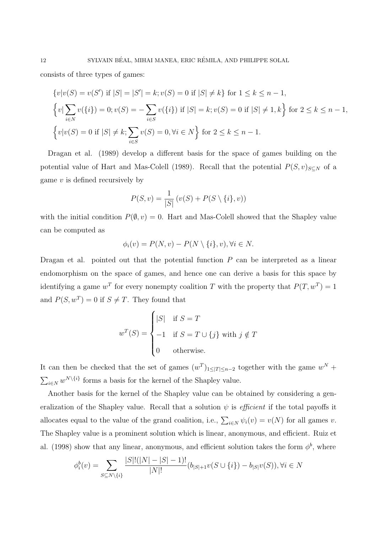consists of three types of games:

$$
\{v|v(S) = v(S') \text{ if } |S| = |S'| = k; v(S) = 0 \text{ if } |S| \neq k\} \text{ for } 1 \leq k \leq n - 1,
$$
  

$$
\{v|\sum_{i \in N} v(\{i\}) = 0; v(S) = -\sum_{i \in S} v(\{i\}) \text{ if } |S| = k; v(S) = 0 \text{ if } |S| \neq 1, k\} \text{ for } 2 \leq k \leq n - 1,
$$
  

$$
\{v|v(S) = 0 \text{ if } |S| \neq k; \sum_{i \in S} v(S) = 0, \forall i \in N\} \text{ for } 2 \leq k \leq n - 1.
$$

Dragan et al. (1989) develop a different basis for the space of games building on the potential value of Hart and Mas-Colell (1989). Recall that the potential  $P(S, v)_{S\subseteq N}$  of a game  $v$  is defined recursively by

$$
P(S, v) = \frac{1}{|S|} (v(S) + P(S \setminus \{i\}, v))
$$

with the initial condition  $P(\emptyset, v) = 0$ . Hart and Mas-Colell showed that the Shapley value can be computed as

$$
\phi_i(v) = P(N, v) - P(N \setminus \{i\}, v), \forall i \in N.
$$

Dragan et al. pointed out that the potential function  $P$  can be interpreted as a linear endomorphism on the space of games, and hence one can derive a basis for this space by identifying a game  $w^T$  for every nonempty coalition T with the property that  $P(T, w^T) = 1$ and  $P(S, w^T) = 0$  if  $S \neq T$ . They found that

$$
w^{T}(S) = \begin{cases} |S| & \text{if } S = T \\ -1 & \text{if } S = T \cup \{j\} \text{ with } j \notin T \\ 0 & \text{otherwise.} \end{cases}
$$

It can then be checked that the set of games  $(w^T)_{1 \leq |T| \leq n-2}$  together with the game  $w^N$  +  $\sum_{i\in\mathbb{N}} w^{\mathbb{N}\setminus\{i\}}$  forms a basis for the kernel of the Shapley value.

Another basis for the kernel of the Shapley value can be obtained by considering a generalization of the Shapley value. Recall that a solution  $\psi$  is *efficient* if the total payoffs it allocates equal to the value of the grand coalition, i.e.,  $\sum_{i\in N} \psi_i(v) = v(N)$  for all games v. The Shapley value is a prominent solution which is linear, anonymous, and efficient. Ruiz et al. (1998) show that any linear, anonymous, and efficient solution takes the form  $\phi^b$ , where

$$
\phi_i^b(v) = \sum_{S \subseteq N \setminus \{i\}} \frac{|S|!(|N|-|S|-1)!}{|N|!} (b_{|S|+1}v(S \cup \{i\}) - b_{|S|}v(S)), \forall i \in N
$$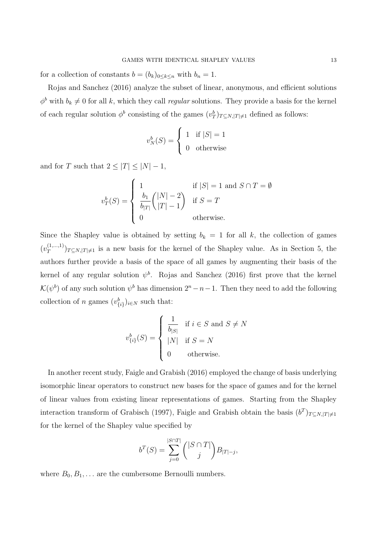for a collection of constants  $b = (b_k)_{0 \leq k \leq n}$  with  $b_n = 1$ .

Rojas and Sanchez (2016) analyze the subset of linear, anonymous, and efficient solutions  $\phi^b$  with  $b_k \neq 0$  for all k, which they call regular solutions. They provide a basis for the kernel of each regular solution  $\phi^b$  consisting of the games  $(v_T^b)_{T \subseteq N, |T| \neq 1}$  defined as follows:

$$
v_N^b(S) = \begin{cases} 1 & \text{if } |S| = 1\\ 0 & \text{otherwise} \end{cases}
$$

and for T such that  $2 \leq |T| \leq |N| - 1$ ,

$$
v_T^b(S) = \begin{cases} 1 & \text{if } |S| = 1 \text{ and } S \cap T = \emptyset \\ \frac{b_1}{b_{|T|}} \binom{|N| - 2}{|T| - 1} & \text{if } S = T \\ 0 & \text{otherwise.} \end{cases}
$$

Since the Shapley value is obtained by setting  $b_k = 1$  for all k, the collection of games  $(v_T^{(1,...,1)}$  $(T^{(1,...,1)}_{T})_{T \subseteq N, |T| \neq 1}$  is a new basis for the kernel of the Shapley value. As in Section 5, the authors further provide a basis of the space of all games by augmenting their basis of the kernel of any regular solution  $\psi^b$ . Rojas and Sanchez (2016) first prove that the kernel  $\mathcal{K}(\psi^b)$  of any such solution  $\psi^b$  has dimension  $2^n - n - 1$ . Then they need to add the following collection of *n* games  $(v_{\{i\}}^b)_{i \in N}$  such that:

$$
v_{\{i\}}^b(S) = \begin{cases} \frac{1}{b_{|S|}} & \text{if } i \in S \text{ and } S \neq N \\ |N| & \text{if } S = N \\ 0 & \text{otherwise.} \end{cases}
$$

In another recent study, Faigle and Grabish (2016) employed the change of basis underlying isomorphic linear operators to construct new bases for the space of games and for the kernel of linear values from existing linear representations of games. Starting from the Shapley interaction transform of Grabisch (1997), Faigle and Grabish obtain the basis  $(b^T)_{T \subseteq N, |T| \neq 1}$ for the kernel of the Shapley value specified by

$$
b^{T}(S) = \sum_{j=0}^{|S \cap T|} { |S \cap T| \choose j} B_{|T|-j},
$$

where  $B_0, B_1, \ldots$  are the cumbersome Bernoulli numbers.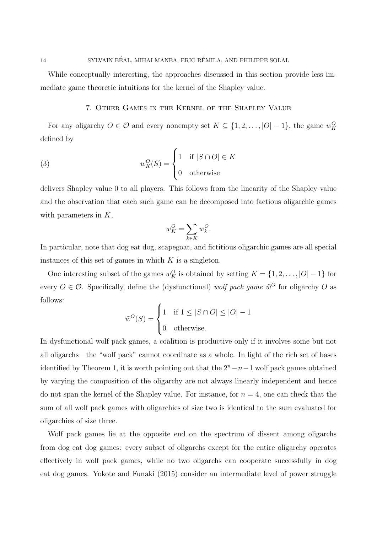While conceptually interesting, the approaches discussed in this section provide less immediate game theoretic intuitions for the kernel of the Shapley value.

## 7. Other Games in the Kernel of the Shapley Value

For any oligarchy  $O \in \mathcal{O}$  and every nonempty set  $K \subseteq \{1, 2, ..., |O|-1\}$ , the game  $w_K^O$ defined by

(3) 
$$
w_K^O(S) = \begin{cases} 1 & \text{if } |S \cap O| \in K \\ 0 & \text{otherwise} \end{cases}
$$

delivers Shapley value 0 to all players. This follows from the linearity of the Shapley value and the observation that each such game can be decomposed into factious oligarchic games with parameters in  $K$ ,

$$
w_K^O = \sum_{k \in K} w_k^O.
$$

In particular, note that dog eat dog, scapegoat, and fictitious oligarchic games are all special instances of this set of games in which  $K$  is a singleton.

One interesting subset of the games  $w_K^O$  is obtained by setting  $K = \{1, 2, ..., |O| - 1\}$  for every  $O \in \mathcal{O}$ . Specifically, define the (dysfunctional) wolf pack game  $\tilde{w}^O$  for oligarchy O as follows:

$$
\tilde{w}^O(S) = \begin{cases} 1 & \text{if } 1 \le |S \cap O| \le |O| - 1 \\ 0 & \text{otherwise.} \end{cases}
$$

In dysfunctional wolf pack games, a coalition is productive only if it involves some but not all oligarchs—the "wolf pack" cannot coordinate as a whole. In light of the rich set of bases identified by Theorem 1, it is worth pointing out that the  $2^{n}-n-1$  wolf pack games obtained by varying the composition of the oligarchy are not always linearly independent and hence do not span the kernel of the Shapley value. For instance, for  $n = 4$ , one can check that the sum of all wolf pack games with oligarchies of size two is identical to the sum evaluated for oligarchies of size three.

Wolf pack games lie at the opposite end on the spectrum of dissent among oligarchs from dog eat dog games: every subset of oligarchs except for the entire oligarchy operates effectively in wolf pack games, while no two oligarchs can cooperate successfully in dog eat dog games. Yokote and Funaki (2015) consider an intermediate level of power struggle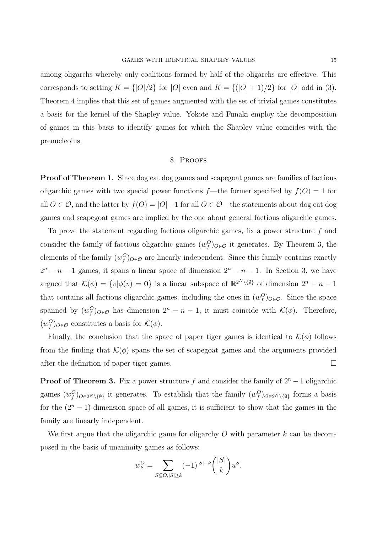among oligarchs whereby only coalitions formed by half of the oligarchs are effective. This corresponds to setting  $K = \{|O|/2\}$  for  $|O|$  even and  $K = \{|O| + 1)/2\}$  for  $|O|$  odd in (3). Theorem 4 implies that this set of games augmented with the set of trivial games constitutes a basis for the kernel of the Shapley value. Yokote and Funaki employ the decomposition of games in this basis to identify games for which the Shapley value coincides with the prenucleolus.

#### 8. Proofs

Proof of Theorem 1. Since dog eat dog games and scapegoat games are families of factious oligarchic games with two special power functions  $f$ —the former specified by  $f(0) = 1$  for all  $O \in \mathcal{O}$ , and the latter by  $f(O) = |O| - 1$  for all  $O \in \mathcal{O}$ —the statements about dog eat dog games and scapegoat games are implied by the one about general factious oligarchic games.

To prove the statement regarding factious oligarchic games, fix a power structure  $f$  and consider the family of factious oligarchic games  $(w_f^O)_{O \in \mathcal{O}}$  it generates. By Theorem 3, the elements of the family  $(w_f^O)_{O \in \mathcal{O}}$  are linearly independent. Since this family contains exactly  $2^{n} - n - 1$  games, it spans a linear space of dimension  $2^{n} - n - 1$ . In Section 3, we have argued that  $\mathcal{K}(\phi) = \{v | \phi(v) = \mathbf{0}\}\$ is a linear subspace of  $\mathbb{R}^{2^N \setminus \{\emptyset\}}\$  of dimension  $2^n - n - 1$ that contains all factious oligarchic games, including the ones in  $(w_f^O)_{O \in \mathcal{O}}$ . Since the space spanned by  $(w_f^O)_{O \in \mathcal{O}}$  has dimension  $2^n - n - 1$ , it must coincide with  $\mathcal{K}(\phi)$ . Therefore,  $(w_f^O)_{O \in \mathcal{O}}$  constitutes a basis for  $\mathcal{K}(\phi)$ .

Finally, the conclusion that the space of paper tiger games is identical to  $\mathcal{K}(\phi)$  follows from the finding that  $\mathcal{K}(\phi)$  spans the set of scapegoat games and the arguments provided after the definition of paper tiger games.

**Proof of Theorem 3.** Fix a power structure f and consider the family of  $2^n - 1$  oligarchic games  $(w_f^O)_{O\in 2^N\setminus\{\emptyset\}}$  it generates. To establish that the family  $(w_f^O)_{O\in 2^N\setminus\{\emptyset\}}$  forms a basis for the  $(2<sup>n</sup> - 1)$ -dimension space of all games, it is sufficient to show that the games in the family are linearly independent.

We first argue that the oligarchic game for oligarchy  $O$  with parameter  $k$  can be decomposed in the basis of unanimity games as follows:

$$
w_k^O = \sum_{S \subseteq O, |S| \ge k} (-1)^{|S| - k} \binom{|S|}{k} u^S.
$$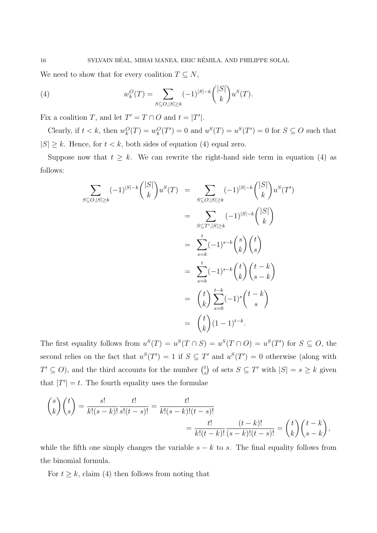We need to show that for every coalition  $T \subseteq N$ ,

(4) 
$$
w_k^O(T) = \sum_{S \subseteq O, |S| \ge k} (-1)^{|S| - k} \binom{|S|}{k} u^S(T).
$$

Fix a coalition T, and let  $T' = T \cap O$  and  $t = |T'|$ .

Clearly, if  $t < k$ , then  $w_k^O(T) = w_k^O(T') = 0$  and  $u^S(T) = u^S(T') = 0$  for  $S \subseteq O$  such that  $|S| \geq k$ . Hence, for  $t < k$ , both sides of equation (4) equal zero.

Suppose now that  $t \geq k$ . We can rewrite the right-hand side term in equation (4) as follows:

$$
\sum_{S \subseteq O, |S| \ge k} (-1)^{|S| - k} \binom{|S|}{k} u^S(T) = \sum_{S \subseteq O, |S| \ge k} (-1)^{|S| - k} \binom{|S|}{k} u^S(T')
$$
  

$$
= \sum_{S \subseteq T', |S| \ge k} (-1)^{|S| - k} \binom{|S|}{k}
$$
  

$$
= \sum_{s=k}^t (-1)^{s-k} \binom{s}{k} \binom{t}{s}
$$
  

$$
= \sum_{s=k}^t (-1)^{s-k} \binom{t}{k} \binom{t-k}{s-k}
$$
  

$$
= \binom{t}{k} \sum_{s=0}^{t-k} (-1)^s \binom{t-k}{s}
$$
  

$$
= \binom{t}{k} (1-1)^{t-k}.
$$

The first equality follows from  $u^S(T) = u^S(T \cap S) = u^S(T \cap O) = u^S(T')$  for  $S \subseteq O$ , the second relies on the fact that  $u^S(T') = 1$  if  $S \subseteq T'$  and  $u^S(T') = 0$  otherwise (along with  $T' \subseteq O$ , and the third accounts for the number  $\binom{t}{s}$  $s<sup>t</sup>$  of sets  $S \subseteq T'$  with  $|S| = s \geq k$  given that  $|T'| = t$ . The fourth equality uses the formulae

$$
\binom{s}{k}\binom{t}{s} = \frac{s!}{k!(s-k)!} \frac{t!}{s!(t-s)!} = \frac{t!}{k!(s-k)!(t-s)!}
$$
\n
$$
= \frac{t!}{k!(t-k)!} \frac{(t-k)!}{(s-k)!(t-s)!} = \binom{t}{k}\binom{t-k}{s-k},
$$

while the fifth one simply changes the variable  $s - k$  to s. The final equality follows from the binomial formula.

For  $t \geq k$ , claim (4) then follows from noting that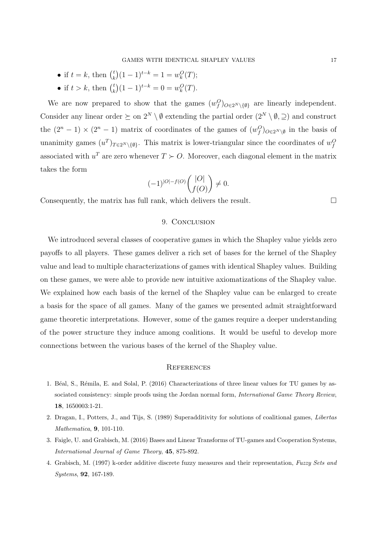- if  $t = k$ , then  $\binom{t}{k}$  $k$ <sup>t</sup> $(k)$  $(1-1)^{t-k} = 1 = w_k^O(T);$
- if  $t > k$ , then  $\binom{t}{k}$  ${k \choose k} (1-1)^{t-k} = 0 = w_k^O(T).$

We are now prepared to show that the games  $(w_f^O)_{O \in 2^N \setminus \{\emptyset\}}$  are linearly independent. Consider any linear order  $\succeq$  on  $2^N \setminus \emptyset$  extending the partial order  $(2^N \setminus \emptyset, \supseteq)$  and construct the  $(2^n - 1) \times (2^n - 1)$  matrix of coordinates of the games of  $(w_f^O)_{O \in 2^N \setminus \emptyset}$  in the basis of unanimity games  $(u^T)_{T \in 2^N \setminus \{\emptyset\}}$ . This matrix is lower-triangular since the coordinates of  $w_f^O$ associated with  $u^T$  are zero whenever  $T \succ O$ . Moreover, each diagonal element in the matrix takes the form

$$
(-1)^{|O|-f(O)} \binom{|O|}{f(O)} \neq 0.
$$

Consequently, the matrix has full rank, which delivers the result.  $\Box$ 

### 9. CONCLUSION

We introduced several classes of cooperative games in which the Shapley value yields zero payoffs to all players. These games deliver a rich set of bases for the kernel of the Shapley value and lead to multiple characterizations of games with identical Shapley values. Building on these games, we were able to provide new intuitive axiomatizations of the Shapley value. We explained how each basis of the kernel of the Shapley value can be enlarged to create a basis for the space of all games. Many of the games we presented admit straightforward game theoretic interpretations. However, some of the games require a deeper understanding of the power structure they induce among coalitions. It would be useful to develop more connections between the various bases of the kernel of the Shapley value.

#### **REFERENCES**

- 1. B´eal, S., R´emila, E. and Solal, P. (2016) Characterizations of three linear values for TU games by associated consistency: simple proofs using the Jordan normal form, *International Game Theory Review*, 18, 1650003:1-21.
- 2. Dragan, I., Potters, J., and Tijs, S. (1989) Superadditivity for solutions of coalitional games, Libertas Mathematica, 9, 101-110.
- 3. Faigle, U. and Grabisch, M. (2016) Bases and Linear Transforms of TU-games and Cooperation Systems, International Journal of Game Theory, 45, 875-892.
- 4. Grabisch, M. (1997) k-order additive discrete fuzzy measures and their representation, Fuzzy Sets and Systems, 92, 167-189.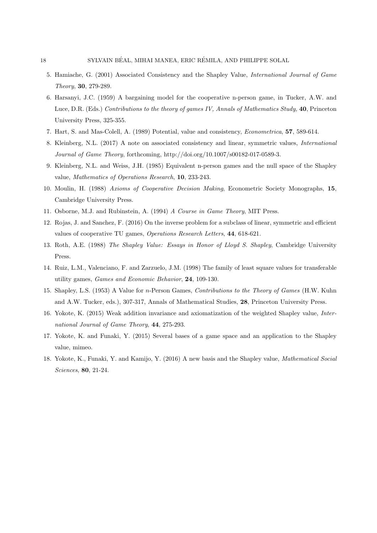- 5. Hamiache, G. (2001) Associated Consistency and the Shapley Value, International Journal of Game Theory, 30, 279-289.
- 6. Harsanyi, J.C. (1959) A bargaining model for the cooperative n-person game, in Tucker, A.W. and Luce, D.R. (Eds.) Contributions to the theory of games IV, Annals of Mathematics Study, 40, Princeton University Press, 325-355.
- 7. Hart, S. and Mas-Colell, A. (1989) Potential, value and consistency, Econometrica, 57, 589-614.
- 8. Kleinberg, N.L. (2017) A note on associated consistency and linear, symmetric values, International Journal of Game Theory, forthcoming, http://doi.org/10.1007/s00182-017-0589-3.
- 9. Kleinberg, N.L. and Weiss, J.H. (1985) Equivalent n-person games and the null space of the Shapley value, Mathematics of Operations Research, 10, 233-243.
- 10. Moulin, H. (1988) Axioms of Cooperative Decision Making, Econometric Society Monographs, 15, Cambridge University Press.
- 11. Osborne, M.J. and Rubinstein, A. (1994) A Course in Game Theory, MIT Press.
- 12. Rojas, J. and Sanchez, F. (2016) On the inverse problem for a subclass of linear, symmetric and efficient values of cooperative TU games, Operations Research Letters, 44, 618-621.
- 13. Roth, A.E. (1988) The Shapley Value: Essays in Honor of Lloyd S. Shapley, Cambridge University Press.
- 14. Ruiz, L.M., Valenciano, F. and Zarzuelo, J.M. (1998) The family of least square values for transferable utility games, Games and Economic Behavior, 24, 109-130.
- 15. Shapley, L.S. (1953) A Value for n-Person Games, Contributions to the Theory of Games (H.W. Kuhn and A.W. Tucker, eds.), 307-317, Annals of Mathematical Studies, 28, Princeton University Press.
- 16. Yokote, K. (2015) Weak addition invariance and axiomatization of the weighted Shapley value, International Journal of Game Theory, 44, 275-293.
- 17. Yokote, K. and Funaki, Y. (2015) Several bases of a game space and an application to the Shapley value, mimeo.
- 18. Yokote, K., Funaki, Y. and Kamijo, Y. (2016) A new basis and the Shapley value, Mathematical Social Sciences, 80, 21-24.